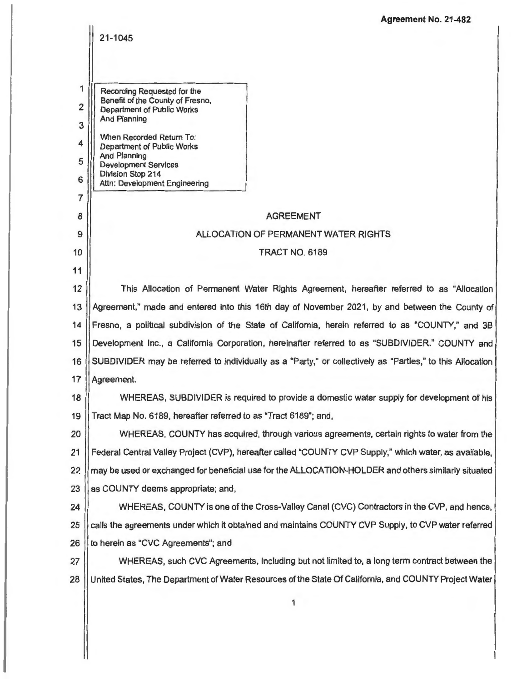|                | <b>Agreement No. 21-482</b>                                                                               |  |  |
|----------------|-----------------------------------------------------------------------------------------------------------|--|--|
|                | 21-1045                                                                                                   |  |  |
|                |                                                                                                           |  |  |
| 1              | Recording Requested for the<br>Benefit of the County of Fresno,                                           |  |  |
| $\overline{2}$ | <b>Department of Public Works</b>                                                                         |  |  |
| 3              | <b>And Planning</b>                                                                                       |  |  |
| 4              | When Recorded Return To:<br><b>Department of Public Works</b>                                             |  |  |
| 5              | <b>And Planning</b><br><b>Development Services</b>                                                        |  |  |
| 6              | Division Stop 214<br>Attn: Development Engineering                                                        |  |  |
| $\overline{7}$ |                                                                                                           |  |  |
| 8              | <b>AGREEMENT</b>                                                                                          |  |  |
| 9              | ALLOCATION OF PERMANENT WATER RIGHTS                                                                      |  |  |
| 10             | <b>TRACT NO. 6189</b>                                                                                     |  |  |
| 11             |                                                                                                           |  |  |
| 12             | This Allocation of Permanent Water Rights Agreement, hereafter referred to as "Allocation                 |  |  |
| 13             | Agreement," made and entered into this 16th day of November 2021, by and between the County of            |  |  |
| 14             | Fresno, a political subdivision of the State of California, herein referred to as "COUNTY," and 3B        |  |  |
| 15             | Development Inc., a California Corporation, hereinafter referred to as "SUBDIVIDER." COUNTY and           |  |  |
| 16             | SUBDIVIDER may be referred to individually as a "Party," or collectively as "Parties," to this Allocation |  |  |
| 17             | Agreement.                                                                                                |  |  |
| 18             | WHEREAS, SUBDIVIDER is required to provide a domestic water supply for development of his                 |  |  |
| 19             | Tract Map No. 6189, hereafter referred to as "Tract 6189"; and,                                           |  |  |
| 20             | WHEREAS, COUNTY has acquired, through various agreements, certain rights to water from the                |  |  |
| 21             | Federal Central Valley Project (CVP), hereafter called "COUNTY CVP Supply," which water, as available,    |  |  |
| 22             | may be used or exchanged for beneficial use for the ALLOCATION-HOLDER and others similarly situated       |  |  |
| 23             | as COUNTY deems appropriate; and,                                                                         |  |  |
| 24             | WHEREAS, COUNTY is one of the Cross-Valley Canal (CVC) Contractors in the CVP, and hence,                 |  |  |
| 25             | calls the agreements under which it obtained and maintains COUNTY CVP Supply, to CVP water referred       |  |  |
| 26             | to herein as "CVC Agreements"; and                                                                        |  |  |
| 27             | WHEREAS, such CVC Agreements, including but not limited to, a long term contract between the              |  |  |
| 28             | United States, The Department of Water Resources of the State Of California, and COUNTY Project Water     |  |  |
|                | 1                                                                                                         |  |  |
|                |                                                                                                           |  |  |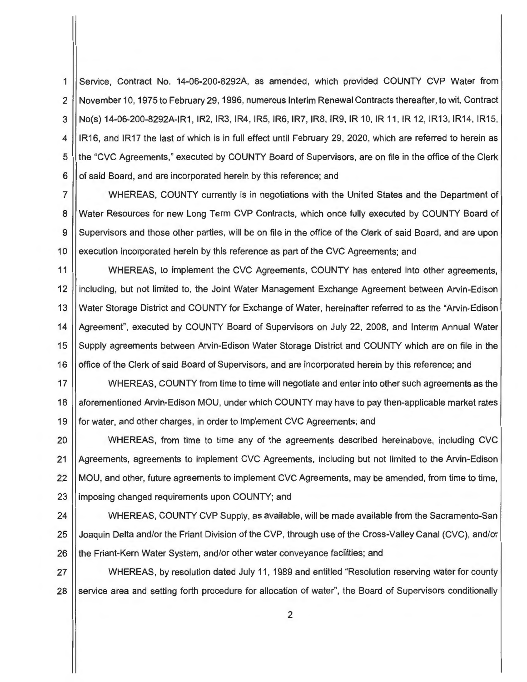1 Service, Contract No. 14-06-200-8292A, as amended, which provided COUNTY CVP Water from 2 November 10, 1975 to February 29, 1996, numerous Interim Renewal Contracts thereafter, to wit, Contract 3 No(s) 14-06-200-8292A-IR1 , IR2, IR3, IR4, IRS, IR6, IR7, IR8, IR9, IR 10, IR 11 , IR 12, IR13, IR14, IR15, 4 ||IR16, and IR17 the last of which is in full effect until February 29, 2020, which are referred to herein as 5 || the "CVC Agreements," executed by COUNTY Board of Supervisors, are on file in the office of the Clerk 6 | of said Board, and are incorporated herein by this reference; and

7 WHEREAS, COUNTY currently is in negotiations with the United States and the Department of 8 Water Resources for new Long Term CVP Contracts, which once fully executed by COUNTY Board of 9 Supervisors and those other parties, will be on file in the office of the Clerk of said Board, and are upon 10 | execution incorporated herein by this reference as part of the CVC Agreements; and

11 | WHEREAS, to implement the CVC Agreements, COUNTY has entered into other agreements, 12 | including, but not limited to, the Joint Water Management Exchange Agreement between Arvin-Edison 13 Water Storage District and COUNTY for Exchange of Water, hereinafter referred to as the "Arvin-Edison 14 | Agreement", executed by COUNTY Board of Supervisors on July 22, 2008, and Interim Annual Water 15 Supply agreements between Arvin-Edison Water Storage District and COUNTY which are on file in the 16 | office of the Clerk of said Board of Supervisors, and are incorporated herein by this reference; and

17 | WHEREAS, COUNTY from time to time will negotiate and enter into other such agreements as the 18 | aforementioned Arvin-Edison MOU, under which COUNTY may have to pay then-applicable market rates 19 || for water, and other charges, in order to implement CVC Agreements; and

20 WHEREAS, from time to time any of the agreements described hereinabove, including CVC 21 | Agreements, agreements to implement CVC Agreements, including but not limited to the Arvin-Edison 22 MOU, and other, future agreements to implement CVC Agreements, may be amended, from time to time, 23 | imposing changed requirements upon COUNTY; and

24 WHEREAS, COUNTY CVP Supply, as available, will be made available from the Sacramento-San 25 Joaquin Delta and/or the Friant Division of the CVP, through use of the Cross-Valley Canal (CVC), and/or 26 the Friant-Kern Water System, and/or other water conveyance facilities; and

27 WHEREAS, by resolution dated July 11 , 1989 and entitled "Resolution reserving water for county 28 Service area and setting forth procedure for allocation of water", the Board of Supervisors conditionally

2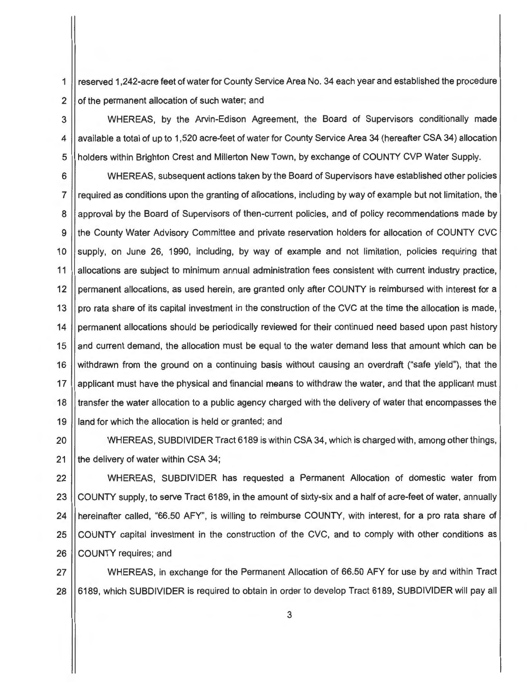1 reserved 1,242-acre feet of water for County Service Area No. 34 each year and established the procedure 2 of the permanent allocation of such water; and

3 WHEREAS, by the Arvin-Edison Agreement, the Board of Supervisors conditionally made 4 | available a total of up to 1,520 acre-feet of water for County Service Area 34 (hereafter CSA 34) allocation 5 || holders within Brighton Crest and Millerton New Town, by exchange of COUNTY CVP Water Supply.

6 WHEREAS, subsequent actions taken by the Board of Supervisors have established other policies 7 required as conditions upon the granting of allocations, including by way of example but not limitation, the 8 || approval by the Board of Supervisors of then-current policies, and of policy recommendations made by 9 I the County Water Advisory Committee and private reservation holders for allocation of COUNTY CVC 10 Supply, on June 26, 1990, including, by way of example and not limitation, policies requiring that 11 allocations are subject to minimum annual administration fees consistent with current industry practice, 12 | permanent allocations, as used herein, are granted only after COUNTY is reimbursed with interest for a 13 || pro rata share of its capital investment in the construction of the CVC at the time the allocation is made, 14 permanent allocations should be periodically reviewed for their continued need based upon past history 15 and current demand, the allocation must be equal to the water demand less that amount which can be 16 withdrawn from the ground on a continuing basis without causing an overdraft ("safe yield"), that the 17 | applicant must have the physical and financial means to withdraw the water, and that the applicant must 18 I transfer the water allocation to a public agency charged with the delivery of water that encompasses the 19 | land for which the allocation is held or granted; and

20 WHEREAS, SUBDIVIDER Tract 6189 is within CSA 34, which is charged with, among other things, 21  $\parallel$  the delivery of water within CSA 34;

22 WHEREAS, SUBDIVIDER has requested a Permanent Allocation of domestic water from 23 COUNTY supply, to serve Tract 6189, in the amount of sixty-six and a half of acre-feet of water, annually 24 Hereinafter called, "66.50 AFY", is willing to reimburse COUNTY, with interest, for a pro rata share of 25 COUNTY capital investment in the construction of the CVC, and to comply with other conditions as 26 COUNTY requires; and

27 WHEREAS, in exchange for the Permanent Allocation of 66.50 AFY for use by and within Tract 28 6189, which SUBDIVIDER is required to obtain in order to develop Tract 6189, SUBDIVIDER will pay all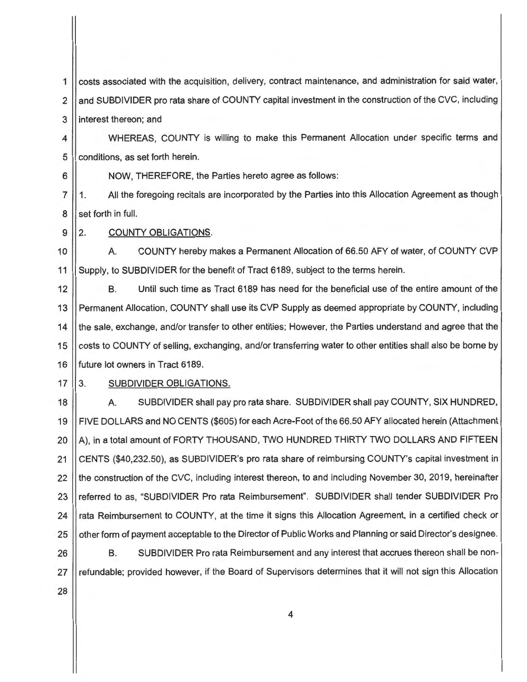1 costs associated with the acquisition, delivery, contract maintenance, and administration for said water, 2 | and SUBDIVIDER pro rata share of COUNTY capital investment in the construction of the CVC, including 3 | interest thereon; and

4 | WHEREAS, COUNTY is willing to make this Permanent Allocation under specific terms and 5 **conditions**, as set forth herein.

6 | NOW, THEREFORE, the Parties hereto agree as follows:

7 | 1. All the foregoing recitals are incorporated by the Parties into this Allocation Agreement as though 8 || set forth in full.

9 2. COUNTY OBLIGATIONS.

10 | A. COUNTY hereby makes a Permanent Allocation of 66.50 AFY of water, of COUNTY CVP 11 Supply, to SUBDIVIDER for the benefit of Tract 6189, subject to the terms herein.

12 B. Until such time as Tract 6189 has need for the beneficial use of the entire amount of the 13 Permanent Allocation, COUNTY shall use its CVP Supply as deemed appropriate by COUNTY, including 14 | the sale, exchange, and/or transfer to other entities; However, the Parties understand and agree that the 15 costs to COUNTY of selling, exchanging, and/or transferring water to other entities shall also be borne by 16 **future lot owners in Tract 6189.** 

 $17 \parallel 3.$ SUBDIVIDER OBLIGATIONS.

18 A. SUBDIVIDER shall pay pro rata share. SUBDIVIDER shall pay COUNTY, SIX HUNDRED, 19 FIVE DOLLARS and NO CENTS (\$605) for each Acre-Foot of the 66.50 AFY allocated herein (Attachment  $20$   $\parallel$  A), in a total amount of FORTY THOUSAND, TWO HUNDRED THIRTY TWO DOLLARS AND FIFTEEN 21 CENTS (\$40,232.50), as SUBDIVIDER's pro rata share of reimbursing COUNTY's capital investment in 22 I the construction of the CVC, including interest thereon, to and including November 30, 2019, hereinafter 23 Treferred to as, "SUBDIVIDER Pro rata Reimbursement". SUBDIVIDER shall tender SUBDIVIDER Pro 24 | rata Reimbursement to COUNTY, at the time it signs this Allocation Agreement, in a certified check or 25 | other form of payment acceptable to the Director of Public Works and Planning or said Director's designee.

26 || B. SUBDIVIDER Pro rata Reimbursement and any interest that accrues thereon shall be non-27 | refundable; provided however, if the Board of Supervisors determines that it will not sign this Allocation

28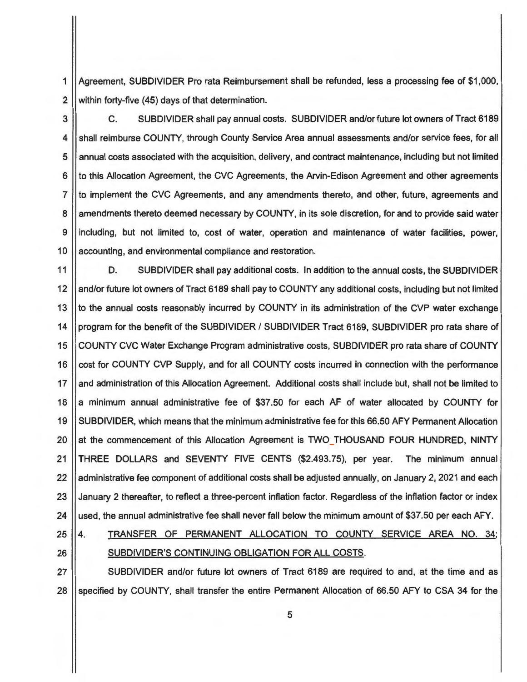1 Agreement, SUBDIVIDER Pro rata Reimbursement shall be refunded, less a processing fee of \$1,000, 2 Within forty-five (45) days of that determination.

3 C. SUBDIVIDER shall pay annual costs. SUBDIVIDER and/or future lot owners of Tract 6189 4 | shall reimburse COUNTY, through County Service Area annual assessments and/or service fees, for all 5 | annual costs associated with the acquisition, delivery, and contract maintenance, including but not limited  $6$  || to this Allocation Agreement, the CVC Agreements, the Arvin-Edison Agreement and other agreements 7 || to implement the CVC Agreements, and any amendments thereto, and other, future, agreements and 8 || amendments thereto deemed necessary by COUNTY, in its sole discretion, for and to provide said water 9 including, but not limited to, cost of water, operation and maintenance of water facilities, power, 10 || accounting, and environmental compliance and restoration.

11 | D. SUBDIVIDER shall pay additional costs. In addition to the annual costs, the SUBDIVIDER 12 || and/or future lot owners of Tract 6189 shall pay to COUNTY any additional costs, including but not limited 13 Ito the annual costs reasonably incurred by COUNTY in its administration of the CVP water exchange 14 | program for the benefit of the SUBDIVIDER / SUBDIVIDER Tract 6189, SUBDIVIDER pro rata share of 15 COUNTY CVC Water Exchange Program administrative costs, SUBDIVIDER pro rata share of COUNTY 16 Cost for COUNTY CVP Supply, and for all COUNTY costs incurred in connection with the performance 17 || and administration of this Allocation Agreement. Additional costs shall include but, shall not be limited to 18 a minimum annual administrative fee of \$37.50 for each AF of water allocated by COUNTY for 19 SUBDIVIDER, which means that the minimum administrative fee for this 66.50 AFY Permanent Allocation 20 at the commencement of this Allocation Agreement is TWO THOUSAND FOUR HUNDRED, NINTY 21 THREE DOLLARS and SEVENTY FIVE CENTS (\$2.493.75), per year. The minimum annual 22 administrative fee component of additional costs shall be adjusted annually, on January 2, 2021 and each 23 | January 2 thereafter, to reflect a three-percent inflation factor. Regardless of the inflation factor or index 24 | used, the annual administrative fee shall never fall below the minimum amount of \$37.50 per each AFY.

- 
- 25 4. TRANSFER OF PERMANENT ALLOCATION TO COUNTY SERVICE AREA NO. 34; 26 || SUBDIVIDER'S CONTINUING OBLIGATION FOR ALL COSTS.

27 || SUBDIVIDER and/or future lot owners of Tract 6189 are required to and, at the time and as 28 Specified by COUNTY, shall transfer the entire Permanent Allocation of 66.50 AFY to CSA 34 for the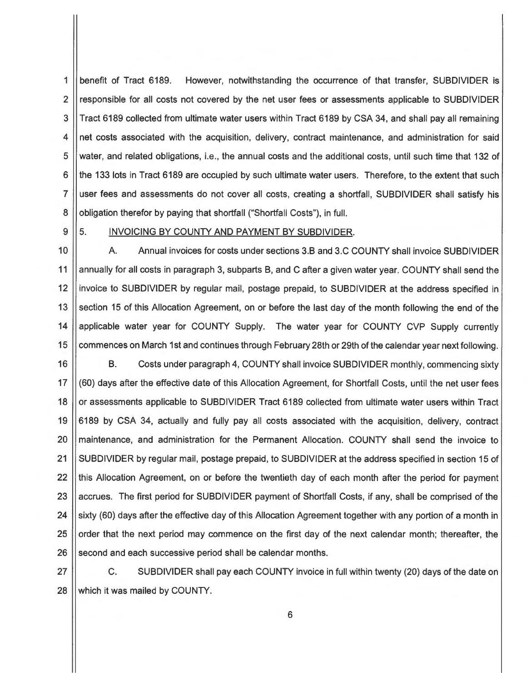1 benefit of Tract 6189. However, notwithstanding the occurrence of that transfer, SUBDIVIDER is 2 3 4 5 6 7 8 responsible for all costs not covered by the net user fees or assessments applicable to SUBDIVIDER Tract 6189 collected from ultimate water users within Tract 6189 by CSA 34, and shall pay all remaining net costs associated with the acquisition, delivery, contract maintenance, and administration for said water, and related obligations, i.e., the annual costs and the additional costs, until such time that 132 of the 133 lots in Tract 6189 are occupied by such ultimate water users. Therefore, to the extent that such user fees and assessments do not cover all costs, creating a shortfall, SUBDIVIDER shall satisfy his obligation therefor by paying that shortfall ("Shortfall Costs"), in full.

9

### 5. INVOICING BY COUNTY AND PAYMENT BY SUBDIVIDER.

10 11 12 13 14 15 A. Annual invoices for costs under sections 3.B and 3.C COUNTY shall invoice SUBDIVIDER annually for all costs in paragraph 3, subparts B, and C after a given water year. COUNTY shall send the invoice to SUBDIVIDER by regular mail, postage prepaid, to SUBDIVIDER at the address specified in section 15 of this Allocation Agreement, on or before the last day of the month following the end of the applicable water year for COUNTY Supply. The water year for COUNTY CVP Supply currently commences on March 1st and continues through February 28th or 29th of the calendar year next following.

16 17 18 19 20 21 22 23 24 25 26 B. Costs under paragraph 4, COUNTY shall invoice SUBDIVIDER monthly, commencing sixty (60) days after the effective date of this Allocation Agreement, for Shortfall Costs, until the net user fees or assessments applicable to SUBDIVIDER Tract 6189 collected from ultimate water users within Tract 6189 by CSA 34, actually and fully pay all costs associated with the acquisition, delivery, contract maintenance, and administration for the Permanent Allocation . COUNTY shall send the invoice to SUBDIVIDER by regular mail, postage prepaid, to SUBDIVIDER at the address specified in section 15 of this Allocation Agreement, on or before the twentieth day of each month after the period for payment accrues. The first period for SUBDIVIDER payment of Shortfall Costs, if any, shall be comprised of the sixty (60) days after the effective day of this Allocation Agreement together with any portion of a month in order that the next period may commence on the first day of the next calendar month; thereafter, the second and each successive period shall be calendar months.

27 28 C. SUBDIVIDER shall pay each COUNTY invoice in full within twenty (20) days of the date on which it was mailed by COUNTY.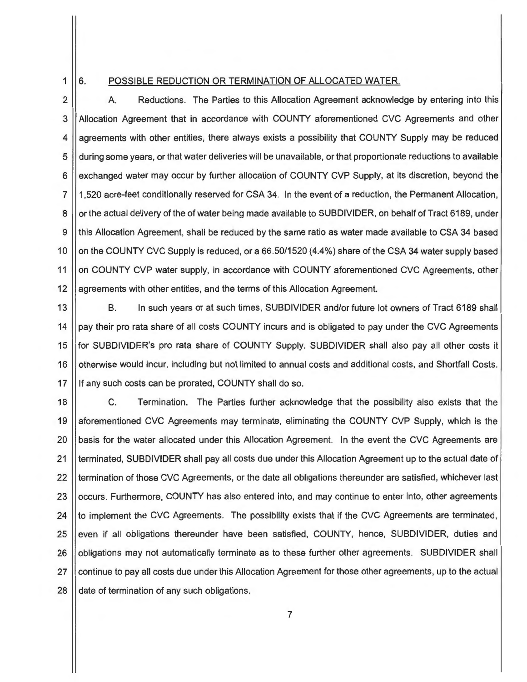## 1

#### 6. POSSIBLE REDUCTION OR TERMINATION OF ALLOCATED WATER.

2 3 4 5 6 7 8 9 10 11 12 A. Reductions. The Parties to this Allocation Agreement acknowledge by entering into this Allocation Agreement that in accordance with COUNTY aforementioned CVC Agreements and other agreements with other entities, there always exists a possibility that COUNTY Supply may be reduced during some years, or that water deliveries will be unavailable, or that proportionate reductions to available exchanged water may occur by further allocation of COUNTY CVP Supply, at its discretion, beyond the 1,520 acre-feet conditionally reserved for CSA 34. In the event of a reduction, the Permanent Allocation, or the actual delivery of the of water being made available to SUBDIVIDER, on behalf of Tract 6189, under this Allocation Agreement, shall be reduced by the same ratio as water made available to CSA 34 based on the COUNTY CVC Supply is reduced, or a 66.50/1520 (4.4%) share of the CSA 34 water supply based on COUNTY CVP water supply, in accordance with COUNTY aforementioned CVC Agreements, other agreements with other entities, and the terms of this Allocation Agreement.

13 14 15 16 17 B. In such years or at such times, SUBDIVIDER and/or future lot owners of Tract 6189 shall pay their pro rata share of all costs COUNTY incurs and is obligated to pay under the CVC Agreements for SUBDIVIDER's pro rata share of COUNTY Supply. SUBDIVIDER shall also pay all other costs it otherwise would incur, including but not limited to annual costs and additional costs, and Shortfall Costs. If any such costs can be prorated, COUNTY shall do so.

18 19 20 21 22 23 24 25 26 27 28 C. Termination. The Parties further acknowledge that the possibility also exists that the aforementioned CVC Agreements may terminate, eliminating the COUNTY CVP Supply, which is the basis for the water allocated under this Allocation Agreement. In the event the CVC Agreements are terminated, SUBDIVIDER shall pay all costs due under this Allocation Agreement up to the actual date of termination of those CVC Agreements, or the date all obligations thereunder are satisfied, whichever last occurs. Furthermore, COUNTY has also entered into, and may continue to enter into, other agreements to implement the CVC Agreements. The possibility exists that if the CVC Agreements are terminated, even if all obligations thereunder have been satisfied, COUNTY, hence, SUBDIVIDER, duties and obligations may not automatically terminate as to these further other agreements. SUBDIVIDER shall continue to pay all costs due under this Allocation Agreement for those other agreements, up to the actual date of termination of any such obligations.

7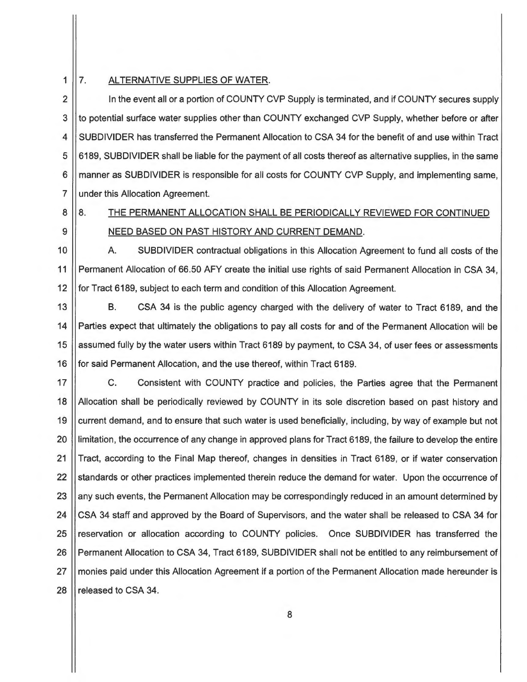#### 1 | 7. ALTERNATIVE SUPPLIES OF WATER.

2 | In the event all or a portion of COUNTY CVP Supply is terminated, and if COUNTY secures supply 3 4 5 6 7 to potential surface water supplies other than COUNTY exchanged CVP Supply, whether before or after SUBDIVIDER has transferred the Permanent Allocation to CSA 34 for the benefit of and use within Tract 6189, SUBDIVIDER shall be liable for the payment of all costs thereof as alternative supplies, in the same manner as SUBDIVIDER is responsible for all costs for COUNTY CVP Supply, and implementing same, under this Allocation Agreement.

# 8 9

# 8. THE PERMANENT ALLOCATION SHALL BE PERIODICALLY REVIEWED FOR CONTINUED NEED BASED ON PAST HISTORY AND CURRENT DEMAND.

10 11 12 A. SUBDIVIDER contractual obligations in this Allocation Agreement to fund all costs of the Permanent Allocation of 66.50 AFY create the initial use rights of said Permanent Allocation in CSA 34, for Tract 6189, subject to each term and condition of this Allocation Agreement.

13 14 15 16 B. CSA 34 is the public agency charged with the delivery of water to Tract 6189, and the Parties expect that ultimately the obligations to pay all costs for and of the Permanent Allocation will be assumed fully by the water users within Tract 6189 by payment, to CSA 34, of user fees or assessments for said Permanent Allocation, and the use thereof, within Tract 6189.

17 18 19 20 21 22 23 24 25 26 27 28 C. Consistent with COUNTY practice and policies, the Parties agree that the Permanent Allocation shall be periodically reviewed by COUNTY in its sole discretion based on past history and current demand, and to ensure that such water is used beneficially, including, by way of example but not limitation, the occurrence of any change in approved plans for Tract 6189, the failure to develop the entire Tract, according to the Final Map thereof, changes in densities in Tract 6189, or if water conservation standards or other practices implemented therein reduce the demand for water. Upon the occurrence of any such events, the Permanent Allocation may be correspondingly reduced in an amount determined by CSA 34 staff and approved by the Board of Supervisors, and the water shall be released to CSA 34 for reservation or allocation according to COUNTY policies. Once SUBDIVIDER has transferred the Permanent Allocation to CSA 34, Tract 6189, SUBDIVIDER shall not be entitled to any reimbursement of monies paid under this Allocation Agreement if a portion of the Permanent Allocation made hereunder is released to CSA 34.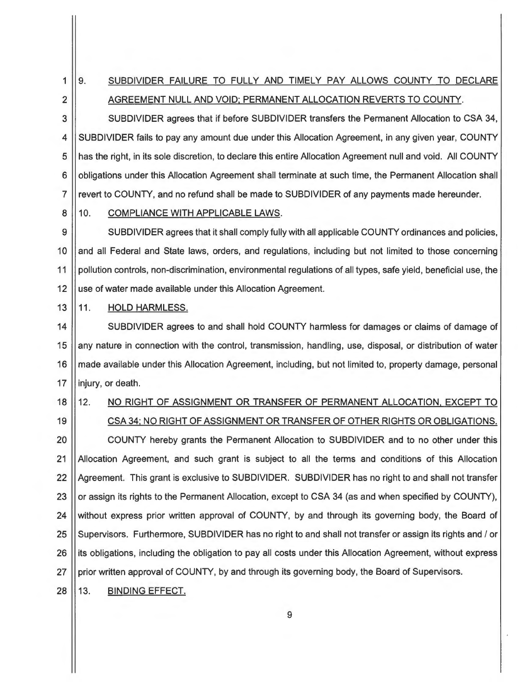$1 \mid 9.$ 2 SUBDIVIDER FAILURE TO FULLY AND TIMELY PAY ALLOWS COUNTY TO DECLARE AGREEMENT NULL AND VOID; PERMANENT ALLOCATION REVERTS TO COUNTY.

3 SUBDIVIDER agrees that if before SUBDIVIDER transfers the Permanent Allocation to CSA 34, 4 SUBDIVIDER fails to pay any amount due under this Allocation Agreement, in any given year, COUNTY 5 || has the right, in its sole discretion, to declare this entire Allocation Agreement null and void. All COUNTY 6 | obligations under this Allocation Agreement shall terminate at such time, the Permanent Allocation shall 7 || revert to COUNTY, and no refund shall be made to SUBDIVIDER of any payments made hereunder.

#### 8 | 10. COMPLIANCE WITH APPLICABLE LAWS.

9  $\vert$  SUBDIVIDER agrees that it shall comply fully with all applicable COUNTY ordinances and policies, 10 | and all Federal and State laws, orders, and regulations, including but not limited to those concerning 11 | pollution controls, non-discrimination, environmental regulations of all types, safe yield, beneficial use, the 12 | use of water made available under this Allocation Agreement.

13 || 11. HOLD HARMLESS.

14 | SUBDIVIDER agrees to and shall hold COUNTY harmless for damages or claims of damage of 15 any nature in connection with the control, transmission, handling, use, disposal, or distribution of water 16 | made available under this Allocation Agreement, including, but not limited to, property damage, personal 17 || injury, or death.

19 CSA 34; NO RIGHT OF ASSIGNMENT OR TRANSFER OF OTHER RIGHTS OR OBLIGATIONS.

# 18 | 12. NO RIGHT OF ASSIGNMENT OR TRANSFER OF PERMANENT ALLOCATION, EXCEPT TO

20 COUNTY hereby grants the Permanent Allocation to SUBDIVIDER and to no other under this 21 Allocation Agreement, and such grant is subject to all the terms and conditions of this Allocation 22 Agreement. This grant is exclusive to SUBDIVIDER. SUBDIVIDER has no right to and shall not transfer 23 | or assign its rights to the Permanent Allocation, except to CSA 34 (as and when specified by COUNTY), 24 Without express prior written approval of COUNTY, by and through its governing body, the Board of 25 Supervisors. Furthermore, SUBDIVIDER has no right to and shall not transfer or assign its rights and / or 26 I its obligations, including the obligation to pay all costs under this Allocation Agreement, without express 27 prior written approval of COUNTY, by and through its governing body, the Board of Supervisors.

28 | 13. BINDING EFFECT.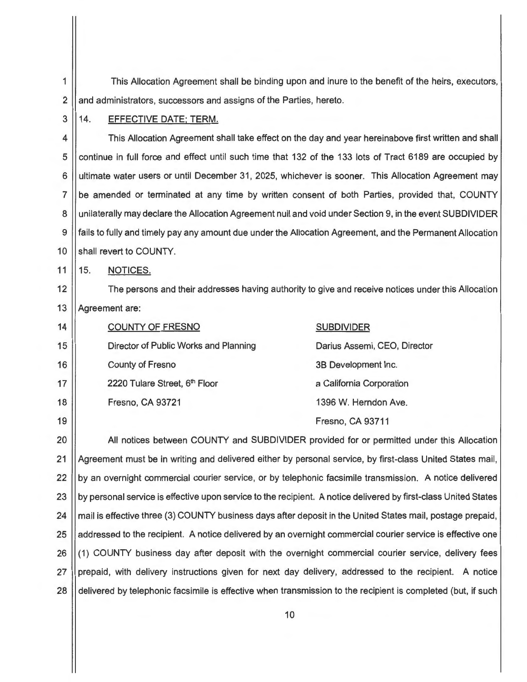1 This Allocation Agreement shall be binding upon and inure to the benefit of the heirs, executors,  $2 \parallel$  and administrators, successors and assigns of the Parties, hereto.

#### 3 || 14. EFFECTIVE DATE; TERM.

4 | This Allocation Agreement shall take effect on the day and year hereinabove first written and shall 5 | continue in full force and effect until such time that 132 of the 133 lots of Tract 6189 are occupied by 6 ultimate water users or until December 31 , 2025, whichever is sooner. This Allocation Agreement may 7 be amended or terminated at any time by written consent of both Parties, provided that, COUNTY 8 || unilaterally may declare the Allocation Agreement null and void under Section 9, in the event SUBDIVIDER 9 fails to fully and timely pay any amount due under the Allocation Agreement, and the Permanent Allocation 10 Shall revert to COUNTY.

11 15. NOTICES.

12 The persons and their addresses having authority to give and receive notices under this Allocation 13 || Agreement are:

| 14 | <b>COUNTY OF FRESNO</b>               | <b>SUBDIVIDER</b>            |
|----|---------------------------------------|------------------------------|
| 15 | Director of Public Works and Planning | Darius Assemi, CEO, Director |
| 16 | <b>County of Fresno</b>               | 3B Development Inc.          |
| 17 | 2220 Tulare Street, 6th Floor         | a California Corporation     |
| 18 | Fresno, CA 93721                      | 1396 W. Herndon Ave.         |
| 19 |                                       | Fresno, CA 93711             |

20 All notices between COUNTY and SUBDIVIDER provided for or permitted under this Allocation 21 Agreement must be in writing and delivered either by personal service, by first-class United States mail, 22 (by an overnight commercial courier service, or by telephonic facsimile transmission. A notice delivered 23 by personal service is effective upon service to the recipient. A notice delivered by first-class United States 24 | mail is effective three (3) COUNTY business days after deposit in the United States mail, postage prepaid, 25 addressed to the recipient. A notice delivered by an overnight commercial courier service is effective one 26 ((1) COUNTY business day after deposit with the overnight commercial courier service, delivery fees 27 prepaid, with delivery instructions given for next day delivery, addressed to the recipient. A notice 28 delivered by telephonic facsimile is effective when transmission to the recipient is completed (but, if such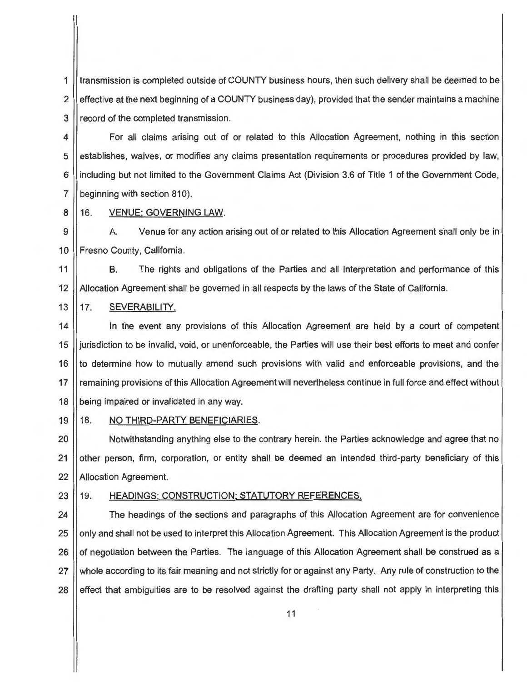1 transmission is completed outside of COUNTY business hours, then such delivery shall be deemed to be 2 | effective at the next beginning of a COUNTY business day), provided that the sender maintains a machine 3 | record of the completed transmission.

4 For all claims arising out of or related to this Allocation Agreement, nothing in this section 5 | establishes, waives, or modifies any claims presentation requirements or procedures provided by law, 6 | including but not limited to the Government Claims Act (Division 3.6 of Title 1 of the Government Code, 7 **beginning with section 810**).

8 || 16. VENUE; GOVERNING LAW.

9 | A. Venue for any action arising out of or related to this Allocation Agreement shall only be in 10 || Fresno County, California.

11 B. The rights and obligations of the Parties and all interpretation and performance of this 12 | Allocation Agreement shall be governed in all respects by the laws of the State of California.

13 17. SEVERABILITY.

14 In the event any provisions of this Allocation Agreement are held by a court of competent 15 jurisdiction to be invalid, void, or unenforceable, the Parties will use their best efforts to meet and confer 16 to determine how to mutually amend such provisions with valid and enforceable provisions, and the 17 || remaining provisions of this Allocation Agreement will nevertheless continue in full force and effect without 18 **being impaired or invalidated in any way.** 

#### 19 18. NO THIRD-PARTY BENEFICIARIES.

20 Notwithstanding anything else to the contrary herein, the Parties acknowledge and agree that no 21 | other person, firm, corporation, or entity shall be deemed an intended third-party beneficiary of this 22 || Allocation Agreement.

#### 23 || 19. HEADINGS: CONSTRUCTION: STATUTORY REFERENCES.

24  $\parallel$  The headings of the sections and paragraphs of this Allocation Agreement are for convenience 25 | only and shall not be used to interpret this Allocation Agreement. This Allocation Agreement is the product 26 || of negotiation between the Parties. The language of this Allocation Agreement shall be construed as a 27 Whole according to its fair meaning and not strictly for or against any Party. Any rule of construction to the 28 | effect that ambiguities are to be resolved against the drafting party shall not apply in interpreting this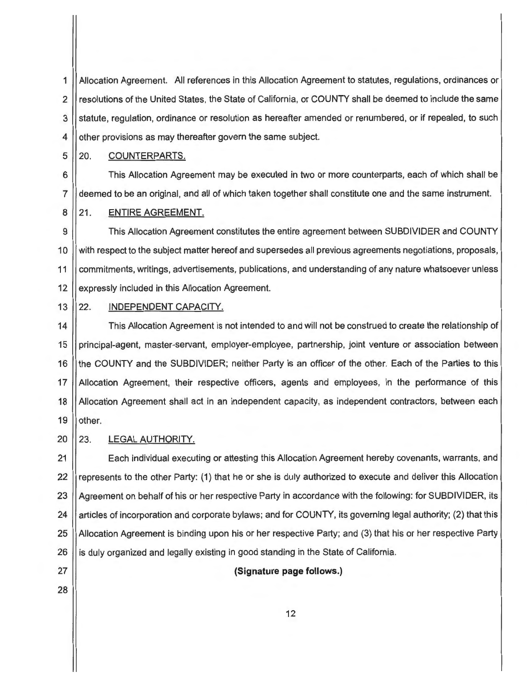1 Allocation Agreement. All references in this Allocation Agreement to statutes, regulations, ordinances or 2 || resolutions of the United States, the State of California, or COUNTY shall be deemed to include the same 3 Statute, regulation, ordinance or resolution as hereafter amended or renumbered, or if repealed, to such 4 | other provisions as may thereafter govern the same subject.

5 20. COUNTERPARTS.

6 This Allocation Agreement may be executed in two or more counterparts, each of which shall be 7 deemed to be an original, and all of which taken together shall constitute one and the same instrument.

8 21. ENTIRE AGREEMENT.

9  $\parallel$  This Allocation Agreement constitutes the entire agreement between SUBDIVIDER and COUNTY 10 | with respect to the subject matter hereof and supersedes all previous agreements negotiations, proposals, 11 | commitments, writings, advertisements, publications, and understanding of any nature whatsoever unless 12 | expressly included in this Allocation Agreement.

#### 13 22. INDEPENDENT CAPACITY.

14 This Allocation Agreement is not intended to and will not be construed to create the relationship of 15 principal-agent, master-servant, employer-employee, partnership, joint venture or association between 16 I the COUNTY and the SUBDIVIDER; neither Party is an officer of the other. Each of the Parties to this 17 Allocation Agreement, their respective officers, agents and employees, in the performance of this 18 | Allocation Agreement shall act in an independent capacity, as independent contractors, between each  $19$  | other.

20 || 23. LEGAL AUTHORITY.

21 | Each individual executing or attesting this Allocation Agreement hereby covenants, warrants, and 22 represents to the other Party: (1) that he or she is duly authorized to execute and deliver this Allocation 23 Agreement on behalf of his or her respective Party in accordance with the following: for SUBDIVIDER, its 24 articles of incorporation and corporate bylaws; and for COUNTY, its governing legal authority; (2) that this 25 Allocation Agreement is binding upon his or her respective Party; and (3) that his or her respective Party 26 is duly organized and legally existing in good standing in the State of California.

27 **(Signature page follows.)**  28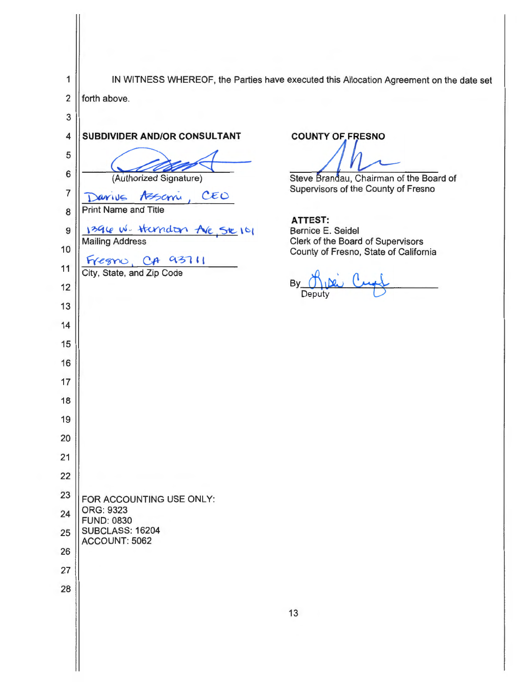| 1              |                                                     | IN WITNESS WHEREOF, the Parties have executed this Allocation Agreement on the date set |
|----------------|-----------------------------------------------------|-----------------------------------------------------------------------------------------|
| $\overline{2}$ | forth above.                                        |                                                                                         |
| 3              |                                                     |                                                                                         |
| 4              | SUBDIVIDER AND/OR CONSULTANT                        | <b>COUNTY OF FRESNO</b>                                                                 |
| 5              |                                                     |                                                                                         |
| 6              | (Authorized Signature)                              | Steve Brandau, Chairman of the Board of                                                 |
| $\overline{7}$ | CEO<br>Assem<br>arius                               | Supervisors of the County of Fresno                                                     |
| 8              | Print Name and Title                                | <b>ATTEST:</b>                                                                          |
| 9              | 1396 W. Handon AVE SE 101<br><b>Mailing Address</b> | Bernice E. Seidel<br>Clerk of the Board of Supervisors                                  |
| 10             | 93711                                               | County of Fresno, State of California                                                   |
| 11             | egno<br>City, State, and Zip Code                   |                                                                                         |
| 12             |                                                     | By<br>Deputy                                                                            |
| 13             |                                                     |                                                                                         |
| 14             |                                                     |                                                                                         |
| 15             |                                                     |                                                                                         |
| 16             |                                                     |                                                                                         |
| 17             |                                                     |                                                                                         |
| 18             |                                                     |                                                                                         |
| 19             |                                                     |                                                                                         |
| 20             |                                                     |                                                                                         |
| 21             |                                                     |                                                                                         |
| 22             |                                                     |                                                                                         |
| 23             | FOR ACCOUNTING USE ONLY:<br>ORG: 9323               |                                                                                         |
| 24             | <b>FUND: 0830</b>                                   |                                                                                         |
| 25             | <b>SUBCLASS: 16204</b><br>ACCOUNT: 5062             |                                                                                         |
| 26             |                                                     |                                                                                         |
| 27             |                                                     |                                                                                         |
| 28             |                                                     |                                                                                         |
|                |                                                     | 13                                                                                      |
|                |                                                     |                                                                                         |